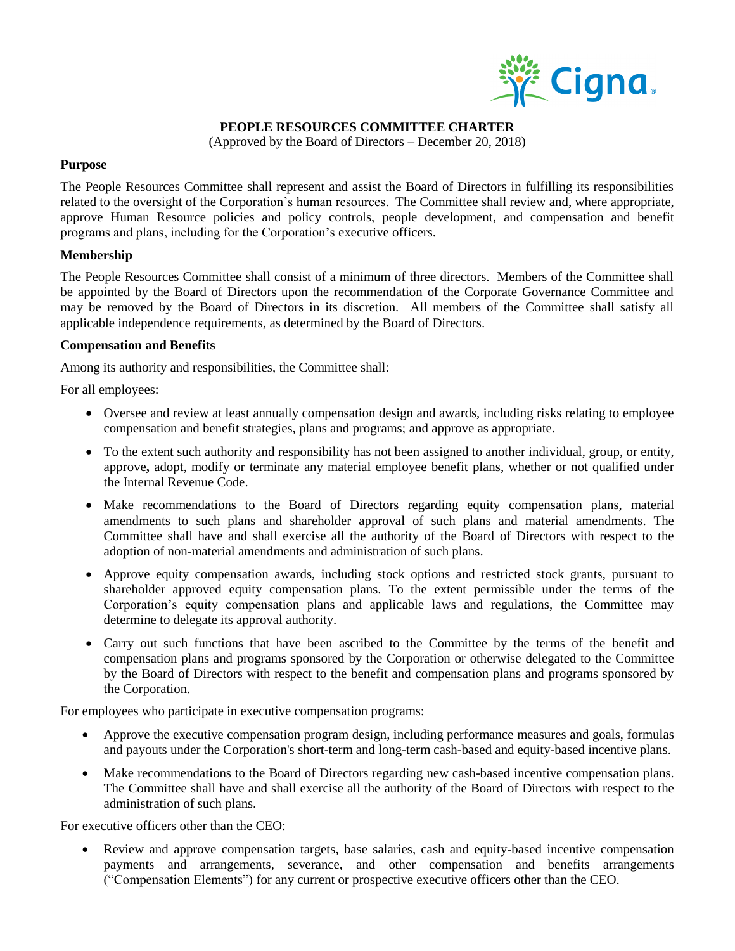

## **PEOPLE RESOURCES COMMITTEE CHARTER**

(Approved by the Board of Directors – December 20, 2018)

## **Purpose**

The People Resources Committee shall represent and assist the Board of Directors in fulfilling its responsibilities related to the oversight of the Corporation's human resources. The Committee shall review and, where appropriate, approve Human Resource policies and policy controls, people development, and compensation and benefit programs and plans, including for the Corporation's executive officers.

# **Membership**

The People Resources Committee shall consist of a minimum of three directors. Members of the Committee shall be appointed by the Board of Directors upon the recommendation of the Corporate Governance Committee and may be removed by the Board of Directors in its discretion. All members of the Committee shall satisfy all applicable independence requirements, as determined by the Board of Directors.

### **Compensation and Benefits**

Among its authority and responsibilities, the Committee shall:

For all employees:

- Oversee and review at least annually compensation design and awards, including risks relating to employee compensation and benefit strategies, plans and programs; and approve as appropriate.
- To the extent such authority and responsibility has not been assigned to another individual, group, or entity, approve**,** adopt, modify or terminate any material employee benefit plans, whether or not qualified under the Internal Revenue Code.
- Make recommendations to the Board of Directors regarding equity compensation plans, material amendments to such plans and shareholder approval of such plans and material amendments. The Committee shall have and shall exercise all the authority of the Board of Directors with respect to the adoption of non-material amendments and administration of such plans.
- Approve equity compensation awards, including stock options and restricted stock grants, pursuant to shareholder approved equity compensation plans. To the extent permissible under the terms of the Corporation's equity compensation plans and applicable laws and regulations, the Committee may determine to delegate its approval authority.
- Carry out such functions that have been ascribed to the Committee by the terms of the benefit and compensation plans and programs sponsored by the Corporation or otherwise delegated to the Committee by the Board of Directors with respect to the benefit and compensation plans and programs sponsored by the Corporation.

For employees who participate in executive compensation programs:

- Approve the executive compensation program design, including performance measures and goals, formulas and payouts under the Corporation's short-term and long-term cash-based and equity-based incentive plans.
- Make recommendations to the Board of Directors regarding new cash-based incentive compensation plans. The Committee shall have and shall exercise all the authority of the Board of Directors with respect to the administration of such plans.

For executive officers other than the CEO:

 Review and approve compensation targets, base salaries, cash and equity-based incentive compensation payments and arrangements, severance, and other compensation and benefits arrangements ("Compensation Elements") for any current or prospective executive officers other than the CEO.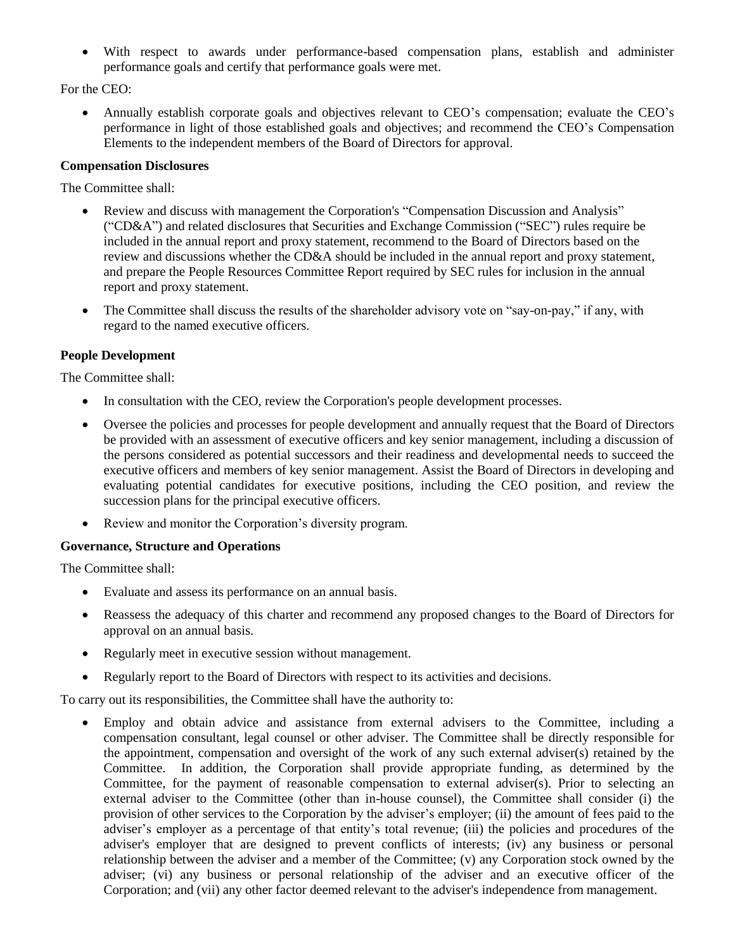With respect to awards under performance-based compensation plans, establish and administer performance goals and certify that performance goals were met.

For the CEO:

 Annually establish corporate goals and objectives relevant to CEO's compensation; evaluate the CEO's performance in light of those established goals and objectives; and recommend the CEO's Compensation Elements to the independent members of the Board of Directors for approval.

# **Compensation Disclosures**

The Committee shall:

- Review and discuss with management the Corporation's "Compensation Discussion and Analysis" ("CD&A") and related disclosures that Securities and Exchange Commission ("SEC") rules require be included in the annual report and proxy statement, recommend to the Board of Directors based on the review and discussions whether the CD&A should be included in the annual report and proxy statement, and prepare the People Resources Committee Report required by SEC rules for inclusion in the annual report and proxy statement.
- The Committee shall discuss the results of the shareholder advisory vote on "say-on-pay," if any, with regard to the named executive officers.

# **People Development**

The Committee shall:

- In consultation with the CEO, review the Corporation's people development processes.
- Oversee the policies and processes for people development and annually request that the Board of Directors be provided with an assessment of executive officers and key senior management, including a discussion of the persons considered as potential successors and their readiness and developmental needs to succeed the executive officers and members of key senior management. Assist the Board of Directors in developing and evaluating potential candidates for executive positions, including the CEO position, and review the succession plans for the principal executive officers.
- Review and monitor the Corporation's diversity program.

### **Governance, Structure and Operations**

The Committee shall:

- Evaluate and assess its performance on an annual basis.
- Reassess the adequacy of this charter and recommend any proposed changes to the Board of Directors for approval on an annual basis.
- Regularly meet in executive session without management.
- Regularly report to the Board of Directors with respect to its activities and decisions.

To carry out its responsibilities, the Committee shall have the authority to:

 Employ and obtain advice and assistance from external advisers to the Committee, including a compensation consultant, legal counsel or other adviser. The Committee shall be directly responsible for the appointment, compensation and oversight of the work of any such external adviser(s) retained by the Committee. In addition, the Corporation shall provide appropriate funding, as determined by the Committee, for the payment of reasonable compensation to external adviser(s). Prior to selecting an external adviser to the Committee (other than in-house counsel), the Committee shall consider (i) the provision of other services to the Corporation by the adviser's employer; (ii) the amount of fees paid to the adviser's employer as a percentage of that entity's total revenue; (iii) the policies and procedures of the adviser's employer that are designed to prevent conflicts of interests; (iv) any business or personal relationship between the adviser and a member of the Committee; (v) any Corporation stock owned by the adviser; (vi) any business or personal relationship of the adviser and an executive officer of the Corporation; and (vii) any other factor deemed relevant to the adviser's independence from management.